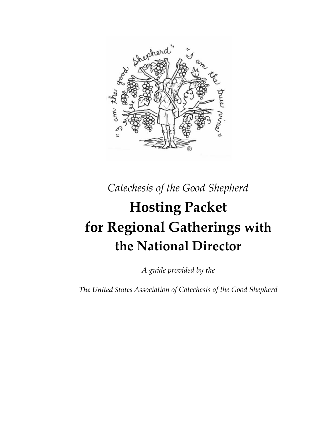

*Catechesis of the Good Shepherd* 

# **Hosting Packet for Regional Gatherings with the National Director**

*A guide provided by the* 

*The United States Association of Catechesis of the Good Shepherd*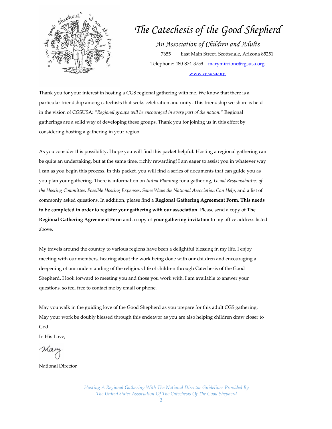

# *The Catechesis of the Good Shepherd An Association of Children and Adults*  7655 East Main Street, Scottsdale, Arizona 85251 Telephone: 480-874-3759 [marymirrione@cgsusa.org](mailto:marymirrione@cgsusa.org)

[www.cgsusa.org](http://www.cgsusa.org/)

Thank you for your interest in hosting a CGS regional gathering with me. We know that there is a particular friendship among catechists that seeks celebration and unity. This friendship we share is held in the vision of CGSUSA: "*Regional groups will be encouraged in every part of the nation."* Regional gatherings are a solid way of developing these groups. Thank you for joining us in this effort by considering hosting a gathering in your region.

As you consider this possibility, I hope you will find this packet helpful. Hosting a regional gathering can be quite an undertaking, but at the same time, richly rewarding! I am eager to assist you in whatever way I can as you begin this process. In this packet, you will find a series of documents that can guide you as you plan your gathering. There is information on *Initial Planning* for a gathering, *Usual Responsibilities of the Hosting Committee*, *Possible Hosting Expenses*, *Some Ways the National Association Can Help*, and a list of commonly asked questions. In addition, please find a **Regional Gathering Agreement Form. This needs to be completed in order to register your gathering with our association.** Please send a copy of **The Regional Gathering Agreement Form** and a copy of **your gathering invitation** to my office address listed above.

My travels around the country to various regions have been a delightful blessing in my life. I enjoy meeting with our members, hearing about the work being done with our children and encouraging a deepening of our understanding of the religious life of children through Catechesis of the Good Shepherd. I look forward to meeting you and those you work with. I am available to answer your questions, so feel free to contact me by email or phone.

May you walk in the guiding love of the Good Shepherd as you prepare for this adult CGS gathering. May your work be doubly blessed through this endeavor as you are also helping children draw closer to God.

In His Love,

mai

National Director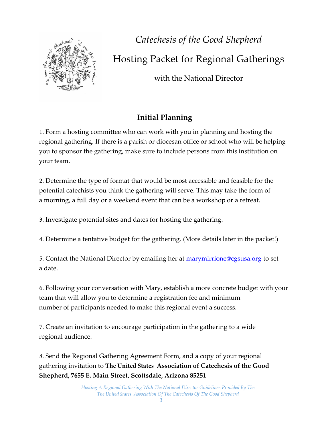

*Catechesis of the Good Shepherd*  Hosting Packet for Regional Gatherings

with the National Director

# **Initial Planning**

1. Form a hosting committee who can work with you in planning and hosting the regional gathering. If there is a parish or diocesan office or school who will be helping you to sponsor the gathering, make sure to include persons from this institution on your team.

2. Determine the type of format that would be most accessible and feasible for the potential catechists you think the gathering will serve. This may take the form of a morning, a full day or a weekend event that can be a workshop or a retreat.

3. Investigate potential sites and dates for hosting the gathering.

4. Determine a tentative budget for the gathering. (More details later in the packet!)

5. Contact the National Director by emailing her at marymirrione@cgsusa.org to set a date.

6. Following your conversation with Mary, establish a more concrete budget with your team that will allow you to determine a registration fee and minimum number of participants needed to make this regional event a success.

7. Create an invitation to encourage participation in the gathering to a wide regional audience.

8. Send the Regional Gathering Agreement Form, and a copy of your regional gathering invitation to **The United States Association of Catechesis of the Good Shepherd, 7655 E. Main Street, Scottsdale, Arizona 85251**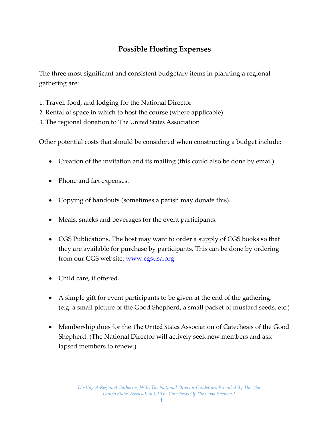## **Possible Hosting Expenses**

The three most significant and consistent budgetary items in planning a regional gathering are:

- 1. Travel, food, and lodging for the National Director
- 2. Rental of space in which to host the course (where applicable)
- 3. The regional donation to The United States Association

Other potential costs that should be considered when constructing a budget include:

- Creation of the invitation and its mailing (this could also be done by email).
- Phone and fax expenses.
- Copying of handouts (sometimes a parish may donate this).
- Meals, snacks and beverages for the event participants.
- CGS Publications. The host may want to order a supply of CGS books so that they are available for purchase by participants. This can be done by ordering from our CGS website: [www.cgsusa.org](http://www.cgsusa.org/)
- Child care, if offered.
- A simple gift for event participants to be given at the end of the gathering. (e.g. a small picture of the Good Shepherd, a small packet of mustard seeds, etc.)
- Membership dues for the The United States Association of Catechesis of the Good Shepherd. (The National Director will actively seek new members and ask lapsed members to renew.)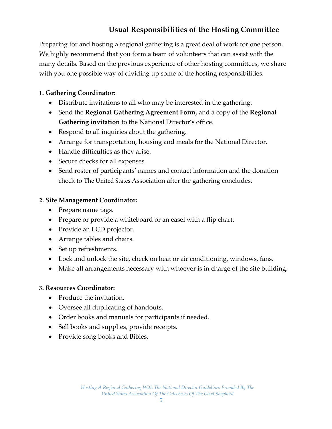## **Usual Responsibilities of the Hosting Committee**

Preparing for and hosting a regional gathering is a great deal of work for one person. We highly recommend that you form a team of volunteers that can assist with the many details. Based on the previous experience of other hosting committees, we share with you one possible way of dividing up some of the hosting responsibilities:

#### **1. Gathering Coordinator:**

- Distribute invitations to all who may be interested in the gathering.
- Send the **Regional Gathering Agreement Form,** and a copy of the **Regional Gathering invitation** to the National Director's office.
- Respond to all inquiries about the gathering.
- Arrange for transportation, housing and meals for the National Director.
- Handle difficulties as they arise.
- Secure checks for all expenses.
- Send roster of participants' names and contact information and the donation check to The United States Association after the gathering concludes.

#### **2. Site Management Coordinator:**

- Prepare name tags.
- Prepare or provide a whiteboard or an easel with a flip chart.
- Provide an LCD projector.
- Arrange tables and chairs.
- Set up refreshments.
- Lock and unlock the site, check on heat or air conditioning, windows, fans.
- Make all arrangements necessary with whoever is in charge of the site building.

#### **3. Resources Coordinator:**

- Produce the invitation.
- Oversee all duplicating of handouts.
- Order books and manuals for participants if needed.
- Sell books and supplies, provide receipts.
- Provide song books and Bibles.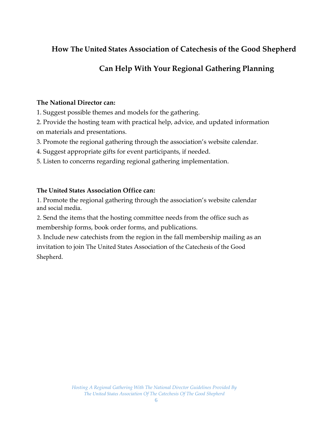### **How The United States Association of Catechesis of the Good Shepherd**

## **Can Help With Your Regional Gathering Planning**

#### **The National Director can:**

- 1. Suggest possible themes and models for the gathering.
- 2. Provide the hosting team with practical help, advice, and updated information on materials and presentations.
- 3. Promote the regional gathering through the association's website calendar.
- 4. Suggest appropriate gifts for event participants, if needed.
- 5. Listen to concerns regarding regional gathering implementation.

#### **The United States Association Office can:**

1. Promote the regional gathering through the association's website calendar and social media.

2. Send the items that the hosting committee needs from the office such as membership forms, book order forms, and publications.

3. Include new catechists from the region in the fall membership mailing as an invitation to join The United States Association of the Catechesis of the Good Shepherd.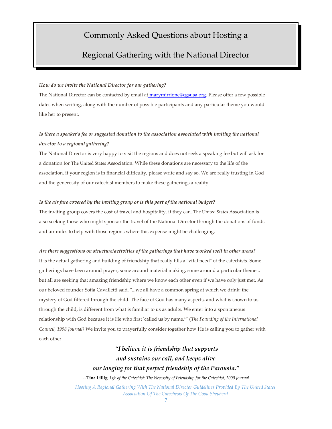#### Commonly Asked Questions about Hosting a

#### Regional Gathering with the National Director

#### *How do we invite the National Director for our gathering?*

The National Director can be contacted by email at marymirrione@cgsusa.org. Please offer a few possible dates when writing, along with the number of possible participants and any particular theme you would like her to present.

#### *Is there a speaker's fee or suggested donation to the association associated with inviting the national director to a regional gathering?*

The National Director is very happy to visit the regions and does not seek a speaking fee but will ask for a donation for The United States Association. While these donations are necessary to the life of the association, if your region is in financial difficulty, please write and say so. We are really trusting in God and the generosity of our catechist members to make these gatherings a reality.

#### *Is the air fare covered by the inviting group or is this part of the national budget?*

The inviting group covers the cost of travel and hospitality, if they can. The United States Association is also seeking those who might sponsor the travel of the National Director through the donations of funds and air miles to help with those regions where this expense might be challenging.

#### *Are there suggestions on structure/activities of the gatherings that have worked well in other areas?*

It is the actual gathering and building of friendship that really fills a "vital need" of the catechists. Some gatherings have been around prayer, some around material making, some around a particular theme... but all are seeking that amazing friendship where we know each other even if we have only just met. As our beloved founder Sofia Cavalletti said, "...we all have a common spring at which we drink: the mystery of God filtered through the child. The face of God has many aspects, and what is shown to us through the child, is different from what is familiar to us as adults. We enter into a spontaneous relationship with God because it is He who first 'called us by name.'" (*The Founding of the International Council, 1998 Journal)* We invite you to prayerfully consider together how He is calling you to gather with each other.

#### *"I believe it is friendship that supports and sustains our call, and keeps alive our longing for that perfect friendship of the Parousia."*

*--***Tina Lillig,** *Life of the Catechist: The Necessity of Friendship for the Catechist, 2000 Journal*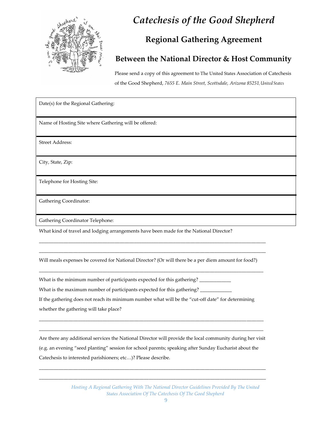

# *Catechesis of the Good Shepherd*

# **Regional Gathering Agreement**

#### **Between the National Director & Host Community**

Please send a copy of this agreement to The United States Association of Catechesis of the Good Shepherd, *7655 E. Main Street, Scottsdale, Arizona 85251, United States* 

Date(s) for the Regional Gathering: Name of Hosting Site where Gathering will be offered: Street Address: City, State, Zip: Telephone for Hosting Site: Gathering Coordinator:

Gathering Coordinator Telephone:

What kind of travel and lodging arrangements have been made for the National Director?

Will meals expenses be covered for National Director? (Or will there be a per diem amount for food?)

 $\_$  ,  $\_$  ,  $\_$  ,  $\_$  ,  $\_$  ,  $\_$  ,  $\_$  ,  $\_$  ,  $\_$  ,  $\_$  ,  $\_$  ,  $\_$  ,  $\_$  ,  $\_$  ,  $\_$  ,  $\_$  ,  $\_$  ,  $\_$  ,  $\_$  ,  $\_$  ,  $\_$  ,  $\_$  ,  $\_$  ,  $\_$  ,  $\_$  ,  $\_$  ,  $\_$  ,  $\_$  ,  $\_$  ,  $\_$  ,  $\_$  ,  $\_$  ,  $\_$  ,  $\_$  ,  $\_$  ,  $\_$  ,  $\_$  ,

 $\_$  ,  $\_$  ,  $\_$  ,  $\_$  ,  $\_$  ,  $\_$  ,  $\_$  ,  $\_$  ,  $\_$  ,  $\_$  ,  $\_$  ,  $\_$  ,  $\_$  ,  $\_$  ,  $\_$  ,  $\_$  ,  $\_$  ,  $\_$  ,  $\_$  ,  $\_$  ,  $\_$  ,  $\_$  ,  $\_$  ,  $\_$  ,  $\_$  ,  $\_$  ,  $\_$  ,  $\_$  ,  $\_$  ,  $\_$  ,  $\_$  ,  $\_$  ,  $\_$  ,  $\_$  ,  $\_$  ,  $\_$  ,  $\_$  ,  $\_$  ,  $\_$  ,  $\_$  ,  $\_$  ,  $\_$  ,  $\_$  ,  $\_$  ,  $\_$  ,  $\_$  ,  $\_$  ,  $\_$  ,  $\_$  ,  $\_$  ,  $\_$  ,  $\_$  ,  $\_$  ,  $\_$  ,  $\_$  ,  $\_$  ,  $\_$  ,  $\_$  ,  $\_$  ,  $\_$  ,  $\_$  ,  $\_$  ,  $\_$  ,  $\_$  ,  $\_$  ,  $\_$  ,  $\_$  ,  $\_$  ,  $\_$  ,  $\_$  ,  $\_$  ,  $\_$  ,  $\_$  ,  $\_$  ,

What is the minimum number of participants expected for this gathering? \_\_\_\_\_\_\_\_\_

What is the maximum number of participants expected for this gathering? \_\_\_\_\_\_\_\_\_

If the gathering does not reach its minimum number what will be the "cut-off date" for determining whether the gathering will take place?

Are there any additional services the National Director will provide the local community during her visit (e.g. an evening "seed planting" session for school parents; speaking after Sunday Eucharist about the Catechesis to interested parishioners; etc…)? Please describe.

\_\_\_\_\_\_\_\_\_\_\_\_\_\_\_\_\_\_\_\_\_\_\_\_\_\_\_\_\_\_\_\_\_\_\_\_\_\_\_\_\_\_\_\_\_\_\_\_\_\_\_\_\_\_\_\_\_\_\_\_\_\_\_\_\_\_\_\_\_\_\_\_\_\_\_\_\_\_\_\_\_\_\_\_\_\_\_\_\_\_\_\_\_ \_\_\_\_\_\_\_\_\_\_\_\_\_\_\_\_\_\_\_\_\_\_\_\_\_\_\_\_\_\_\_\_\_\_\_\_\_\_\_\_\_\_\_\_\_\_\_\_\_\_\_\_\_\_\_\_\_\_\_\_\_\_\_\_\_\_\_\_\_\_\_\_\_\_\_\_\_\_\_\_\_\_\_\_\_\_\_\_\_\_\_\_\_

\_\_\_\_\_\_\_\_\_\_\_\_\_\_\_\_\_\_\_\_\_\_\_\_\_\_\_\_\_\_\_\_\_\_\_\_\_\_\_\_\_\_\_\_\_\_\_\_\_\_\_\_\_\_\_\_\_\_\_\_\_\_\_\_\_\_\_\_\_\_\_\_\_\_\_\_\_\_\_\_\_\_\_\_\_\_\_\_\_\_\_\_ \_\_\_\_\_\_\_\_\_\_\_\_\_\_\_\_\_\_\_\_\_\_\_\_\_\_\_\_\_\_\_\_\_\_\_\_\_\_\_\_\_\_\_\_\_\_\_\_\_\_\_\_\_\_\_\_\_\_\_\_\_\_\_\_\_\_\_\_\_\_\_\_\_\_\_\_\_\_\_\_\_\_\_\_\_\_\_\_\_\_\_\_